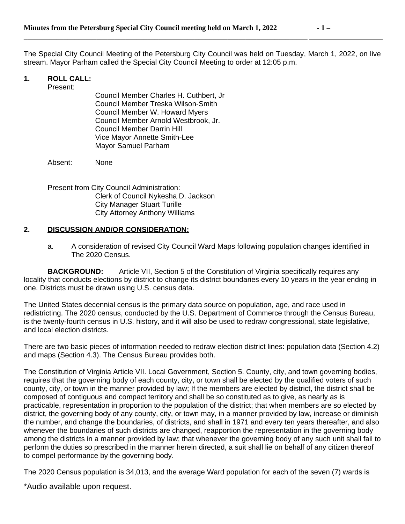**\_\_\_\_\_\_\_\_\_\_\_\_\_\_\_\_\_\_\_\_\_\_\_\_\_\_\_\_\_\_\_\_\_\_\_\_\_\_\_\_\_\_\_\_\_\_\_\_\_\_\_\_\_\_\_\_\_\_\_\_\_\_\_\_\_\_\_\_\_\_\_\_\_\_\_\_\_\_** 

The Special City Council Meeting of the Petersburg City Council was held on Tuesday, March 1, 2022, on live stream. Mayor Parham called the Special City Council Meeting to order at 12:05 p.m.

## **1. ROLL CALL:**

Present:

Council Member Charles H. Cuthbert, Jr Council Member Treska Wilson-Smith Council Member W. Howard Myers Council Member Arnold Westbrook, Jr. Council Member Darrin Hill Vice Mayor Annette Smith-Lee Mayor Samuel Parham

Absent: None

Present from City Council Administration: Clerk of Council Nykesha D. Jackson City Manager Stuart Turille City Attorney Anthony Williams

## **2. DISCUSSION AND/OR CONSIDERATION:**

a. A consideration of revised City Council Ward Maps following population changes identified in The 2020 Census.

**BACKGROUND:** Article VII, Section 5 of the Constitution of Virginia specifically requires any locality that conducts elections by district to change its district boundaries every 10 years in the year ending in one. Districts must be drawn using U.S. census data.

The United States decennial census is the primary data source on population, age, and race used in redistricting. The 2020 census, conducted by the U.S. Department of Commerce through the Census Bureau, is the twenty-fourth census in U.S. history, and it will also be used to redraw congressional, state legislative, and local election districts.

There are two basic pieces of information needed to redraw election district lines: population data (Section 4.2) and maps (Section 4.3). The Census Bureau provides both.

The Constitution of Virginia Article VII. Local Government, Section 5. County, city, and town governing bodies, requires that the governing body of each county, city, or town shall be elected by the qualified voters of such county, city, or town in the manner provided by law; If the members are elected by district, the district shall be composed of contiguous and compact territory and shall be so constituted as to give, as nearly as is practicable, representation in proportion to the population of the district; that when members are so elected by district, the governing body of any county, city, or town may, in a manner provided by law, increase or diminish the number, and change the boundaries, of districts, and shall in 1971 and every ten years thereafter, and also whenever the boundaries of such districts are changed, reapportion the representation in the governing body among the districts in a manner provided by law; that whenever the governing body of any such unit shall fail to perform the duties so prescribed in the manner herein directed, a suit shall lie on behalf of any citizen thereof to compel performance by the governing body.

The 2020 Census population is 34,013, and the average Ward population for each of the seven (7) wards is

\*Audio available upon request.